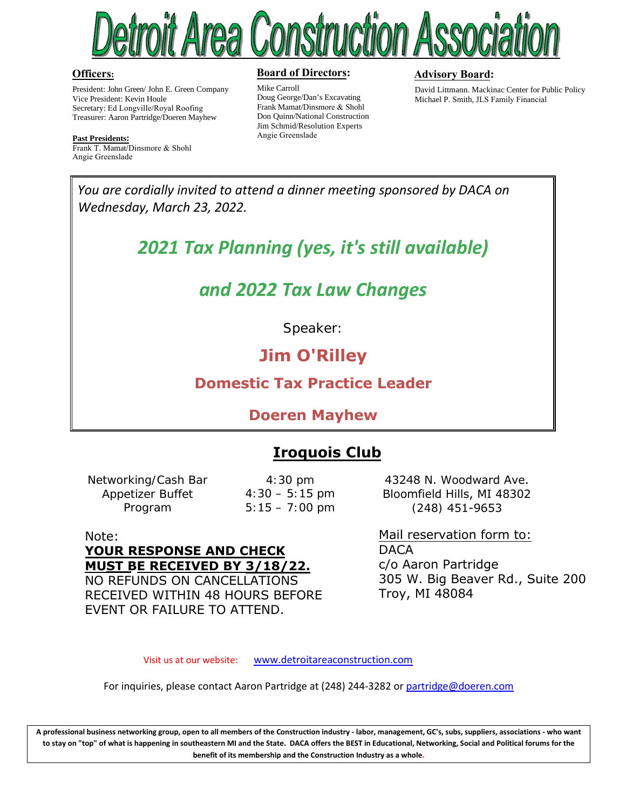

#### **Officers:**

President: John Green/ John E. Green Company Vice President: Kevin Houle Secretary: Ed Longville/Royal Roofing Treasurer: Aaron Partridge/Doeren Mayhew

**Past Presidents:**

Frank T. Mamat/Dinsmore & Shohl Angie Greenslade

#### **Board of Directors:**

Mike Carroll Doug George/Dan's Excavating Frank Mamat/Dinsmore & Shohl Don Quinn/National Construction Jim Schmid/Resolution Experts Angie Greenslade

#### **Advisory Board:**

David Littmann. Mackinac Center for Public Policy Michael P. Smith, JLS Family Financial

*You are cordially invited to attend a dinner meeting sponsored by DACA on Wednesday, March 23, 2022.*

*2021 Tax Planning (yes, it's still available)*

## *and 2022 Tax Law Changes*

Speaker:

## **Jim O'Rilley**

### **Domestic Tax Practice Leader**

#### **Doeren Mayhew**

## **Iroquois Club**

Networking/Cash Bar Appetizer Buffet Program

4:30 pm  $4:30 - 5:15 \text{ pm}$  $5:15 - 7:00$  pm

43248 N. Woodward Ave. Bloomfield Hills, MI 48302 (248) 451-9653

Note: **YOUR RESPONSE AND CHECK MUST BE RECEIVED BY 3/18/22.** NO REFUNDS ON CANCELLATIONS RECEIVED WITHIN 48 HOURS BEFORE EVENT OR FAILURE TO ATTEND.

Mail reservation form to: **DACA** c/o Aaron Partridge 305 W. Big Beaver Rd., Suite 200 Troy, MI 48084

Visit us at our website: [www.detroitareaconstruction.com](http://www.detroitareaconstruction.com/)

For inquiries, please contact Aaron Partridge at (248) 244-3282 or [partridge@doeren.com](mailto:partridge@doeren.com)

**A professional business networking group, open to all members of the Construction industry - labor, management, GC's, subs, suppliers, associations - who want to stay on "top" of what is happening in southeastern MI and the State. DACA offers the BEST in Educational, Networking, Social and Political forums for the benefit of its membership and the Construction Industry as a whole.**